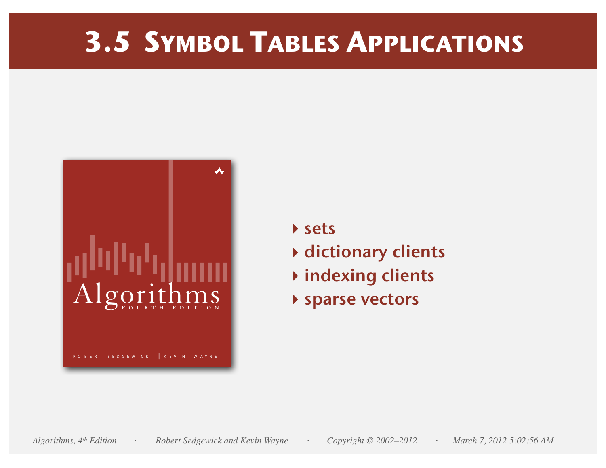# **3.5 SYMBOL TABLES APPLICATIONS**



- **‣** sets
- **‣** dictionary clients
- **‣** indexing clients
- **‣** sparse vectors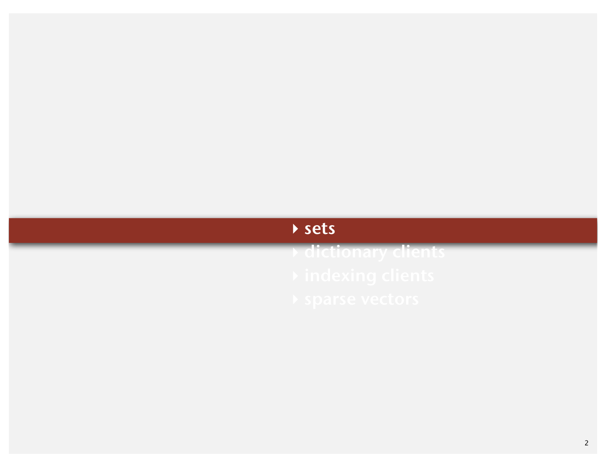## **‣** sets

**‣** dictionary clients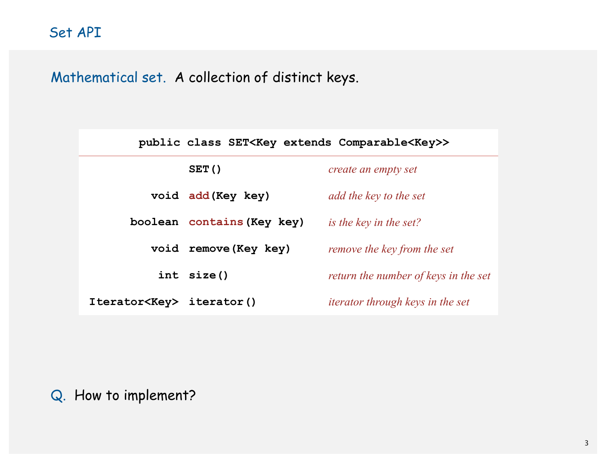Mathematical set. A collection of distinct keys.

|                                 | public class SET <key comparable<key="" extends="">&gt;</key> |                                         |
|---------------------------------|---------------------------------------------------------------|-----------------------------------------|
|                                 | SET()                                                         | create an empty set                     |
|                                 | void add (Key key)                                            | add the key to the set                  |
|                                 | boolean contains (Key key)                                    | is the key in the set?                  |
|                                 | void remove (Key key)                                         | <i>remove the key from the set</i>      |
|                                 | int size()                                                    | return the number of keys in the set    |
| Iterator <key> iterator()</key> |                                                               | <i>iterator through keys in the set</i> |

Q. How to implement?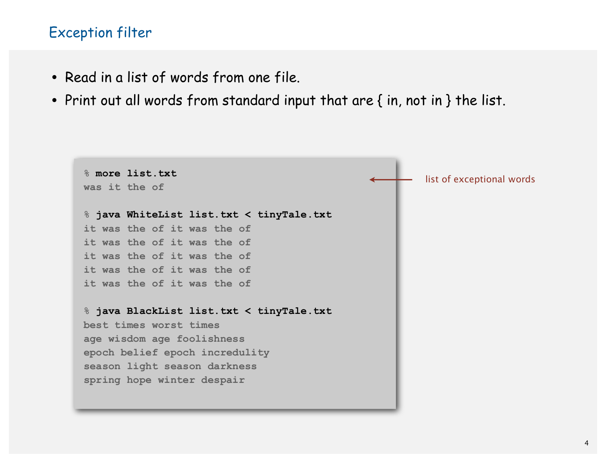#### Exception filter

- Read in a list of words from one file.
- Print out all words from standard input that are { in, not in } the list.

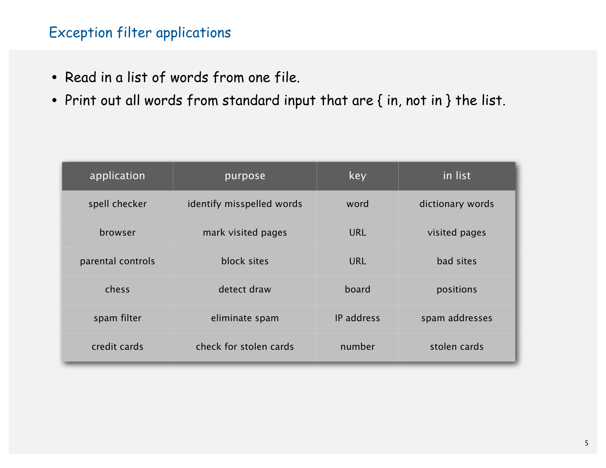#### Exception filter applications

- Read in a list of words from one file.
- Print out all words from standard input that are { in, not in } the list.

| application       | purpose                   | key        | in list          |  |  |  |
|-------------------|---------------------------|------------|------------------|--|--|--|
| spell checker     | identify misspelled words | word       | dictionary words |  |  |  |
| browser           | mark visited pages        | <b>URL</b> | visited pages    |  |  |  |
| parental controls | block sites               | <b>URL</b> | bad sites        |  |  |  |
| chess             | detect draw               | board      | positions        |  |  |  |
| spam filter       | eliminate spam            | IP address | spam addresses   |  |  |  |
| credit cards      | check for stolen cards    | number     | stolen cards     |  |  |  |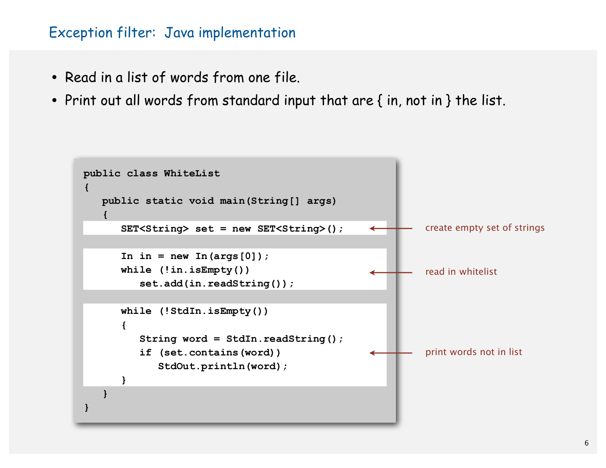#### Exception filter: Java implementation

- Read in a list of words from one file.
- Print out all words from standard input that are { in, not in } the list.

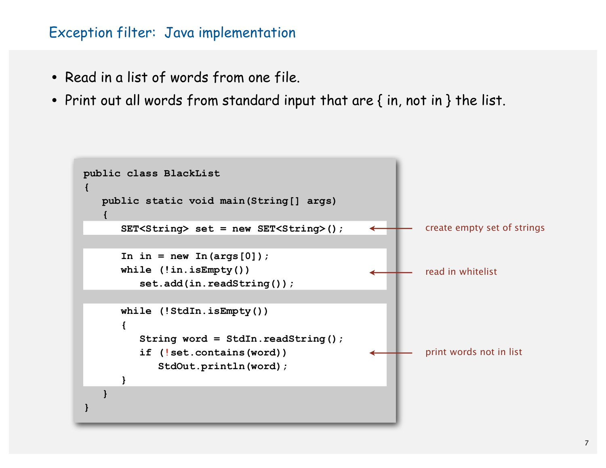#### Exception filter: Java implementation

- Read in a list of words from one file.
- Print out all words from standard input that are { in, not in } the list.

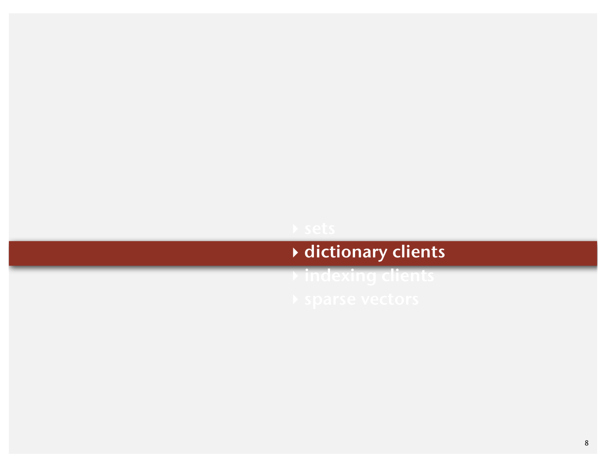## **‣** dictionary clients

**‣** indexing clients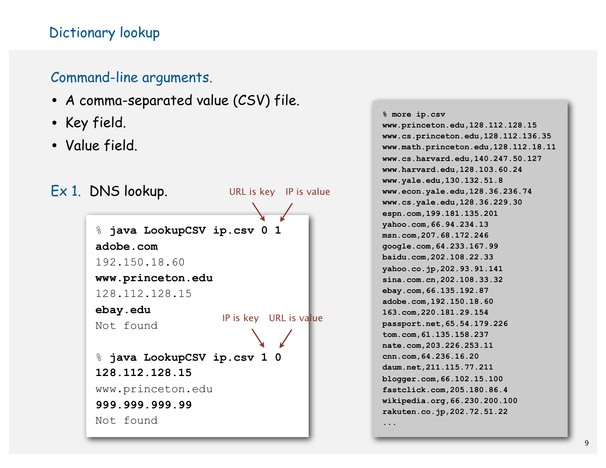#### Dictionary lookup

#### Command-line arguments.

- A comma-separated value (CSV) file.
- Key field.
- Value field.



**% more ip.csv www.princeton.edu,128.112.128.15 www.cs.princeton.edu,128.112.136.35 www.math.princeton.edu,128.112.18.11 www.cs.harvard.edu,140.247.50.127 www.harvard.edu,128.103.60.24 www.yale.edu,130.132.51.8 www.econ.yale.edu,128.36.236.74 www.cs.yale.edu,128.36.229.30 espn.com,199.181.135.201 yahoo.com,66.94.234.13 msn.com,207.68.172.246 google.com,64.233.167.99 baidu.com,202.108.22.33 yahoo.co.jp,202.93.91.141 sina.com.cn,202.108.33.32 ebay.com,66.135.192.87 adobe.com,192.150.18.60 163.com,220.181.29.154 passport.net,65.54.179.226 tom.com,61.135.158.237 nate.com,203.226.253.11 cnn.com,64.236.16.20 daum.net,211.115.77.211 blogger.com,66.102.15.100 fastclick.com,205.180.86.4 wikipedia.org,66.230.200.100 rakuten.co.jp,202.72.51.22 ...**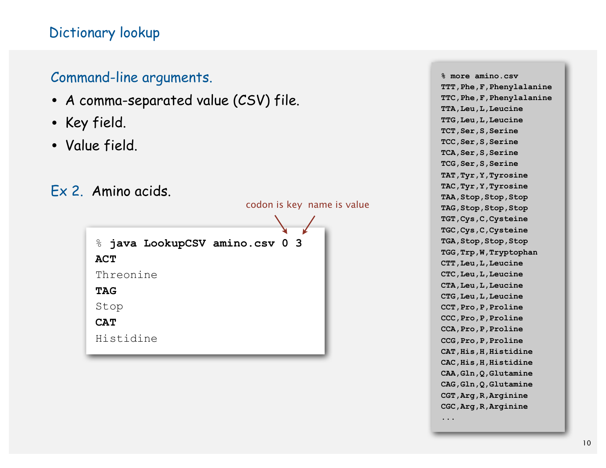#### Dictionary lookup

#### Command-line arguments.

- A comma-separated value (CSV) file.
- Key field.
- Value field.
- Ex 2. Amino acids.

codon is key name is value

```
% java LookupCSV amino.csv 0 3
ACT
Threonine
TAG
Stop
CAT
Histidine
```
**% more amino.csv TTT,Phe,F,Phenylalanine TTC,Phe,F,Phenylalanine TTA,Leu,L,Leucine TTG,Leu,L,Leucine TCT,Ser,S,Serine TCC,Ser,S,Serine TCA,Ser,S,Serine TCG,Ser,S,Serine TAT,Tyr,Y,Tyrosine TAC,Tyr,Y,Tyrosine TAA,Stop,Stop,Stop TAG,Stop,Stop,Stop TGT,Cys,C,Cysteine TGC,Cys,C,Cysteine TGA,Stop,Stop,Stop TGG,Trp,W,Tryptophan CTT,Leu,L,Leucine CTC,Leu,L,Leucine CTA,Leu,L,Leucine CTG,Leu,L,Leucine CCT,Pro,P,Proline CCC,Pro,P,Proline CCA,Pro,P,Proline CCG,Pro,P,Proline CAT,His,H,Histidine CAC,His,H,Histidine CAA,Gln,Q,Glutamine CAG,Gln,Q,Glutamine CGT,Arg,R,Arginine CGC,Arg,R,Arginine ...**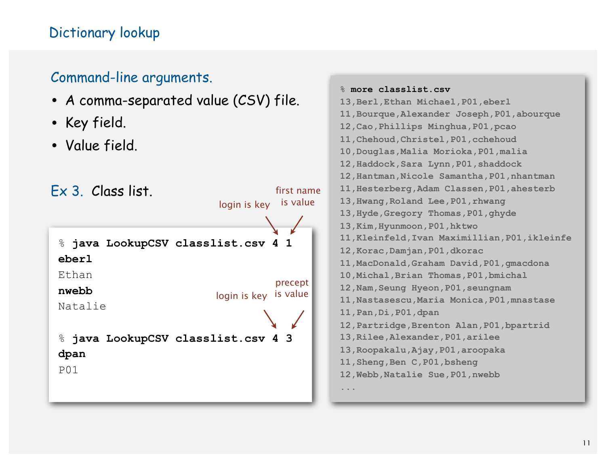#### Dictionary lookup

#### Command-line arguments.

- A comma-separated value (CSV) file.
- Key field.
- Value field.

Ex 3. Class list. % **java LookupCSV classlist.csv 4 1 eberl** Ethan **nwebb** Natalie % **java LookupCSV classlist.csv 4 3 dpan** P01 login is key is value first name login is key is valueprecept

```
% more classlist.csv
13,Berl,Ethan Michael,P01,eberl
11,Bourque,Alexander Joseph,P01,abourque
12,Cao,Phillips Minghua,P01,pcao
11,Chehoud,Christel,P01,cchehoud
10,Douglas,Malia Morioka,P01,malia
12,Haddock,Sara Lynn,P01,shaddock
12,Hantman,Nicole Samantha,P01,nhantman
11,Hesterberg,Adam Classen,P01,ahesterb
13,Hwang,Roland Lee,P01,rhwang
13,Hyde,Gregory Thomas,P01,ghyde
13,Kim,Hyunmoon,P01,hktwo
11,Kleinfeld,Ivan Maximillian,P01,ikleinfe
12,Korac,Damjan,P01,dkorac
11,MacDonald,Graham David,P01,gmacdona
10,Michal,Brian Thomas,P01,bmichal
12,Nam,Seung Hyeon,P01,seungnam
11,Nastasescu,Maria Monica,P01,mnastase
11,Pan,Di,P01,dpan
12,Partridge,Brenton Alan,P01,bpartrid
13,Rilee,Alexander,P01,arilee
13,Roopakalu,Ajay,P01,aroopaka
11,Sheng,Ben C,P01,bsheng
12,Webb,Natalie Sue,P01,nwebb
...
```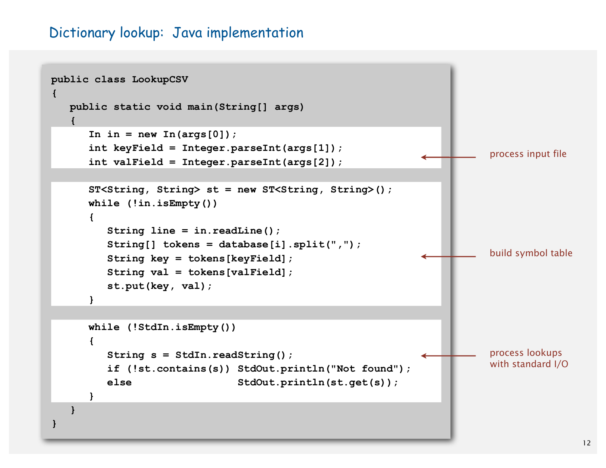#### Dictionary lookup: Java implementation

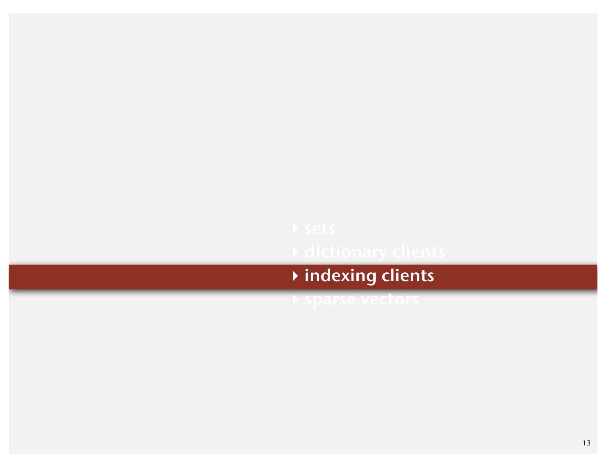# **‣** indexing clients

**‣** sparse vectors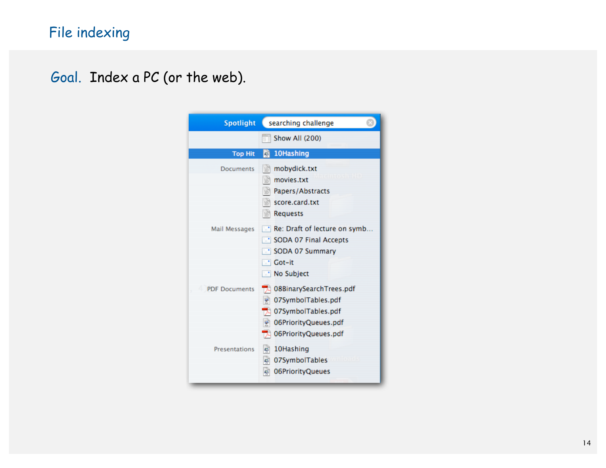Goal. Index a PC (or the web).

| <b>Spotlight</b>     | searching challenge                                                                                                      |
|----------------------|--------------------------------------------------------------------------------------------------------------------------|
|                      | Show All (200)                                                                                                           |
| <b>Top Hit</b>       | 10Hashing<br>la                                                                                                          |
| <b>Documents</b>     | mobydick.txt<br>벜<br>movies.txt<br>쁴<br>Papers/Abstracts<br>score.card.txt<br>$\mathbb{R}$ Requests                      |
| Mail Messages        | Re: Draft of lecture on symb.<br>SODA 07 Final Accepts<br>SODA 07 Summary<br>∵ Got–it<br>No Subject                      |
| <b>PDF Documents</b> | 08BinarySearchTrees.pdf<br>07SymbolTables.pdf<br>07SymbolTables.pdf<br>06PriorityQueues.pdf<br>藰<br>06PriorityQueues.pdf |
| <b>Presentations</b> | a 10Hashing<br>म्रो<br>07SymbolTables<br>06PriorityQueues<br>ল্                                                          |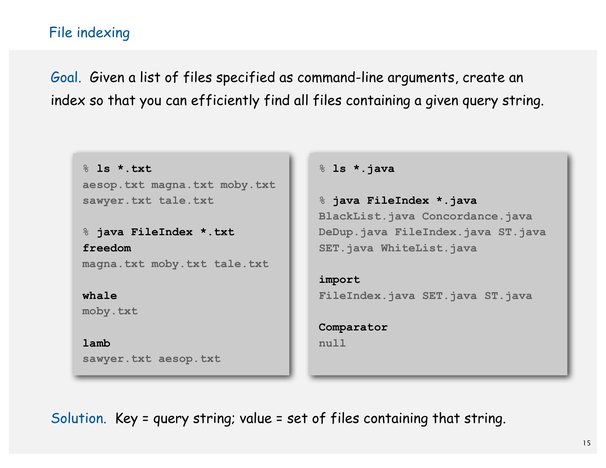#### File indexing

Goal. Given a list of files specified as command-line arguments, create an index so that you can efficiently find all files containing a given query string.

**% ls \*.txt aesop.txt magna.txt moby.txt sawyer.txt tale.txt** 

**% java FileIndex \*.txt freedom magna.txt moby.txt tale.txt**

**whale moby.txt**

**lamb sawyer.txt aesop.txt** **% ls \*.java**

**% java FileIndex \*.java BlackList.java Concordance.java DeDup.java FileIndex.java ST.java SET.java WhiteList.java** 

**import FileIndex.java SET.java ST.java**

**Comparator null**

Solution. Key = query string; value = set of files containing that string.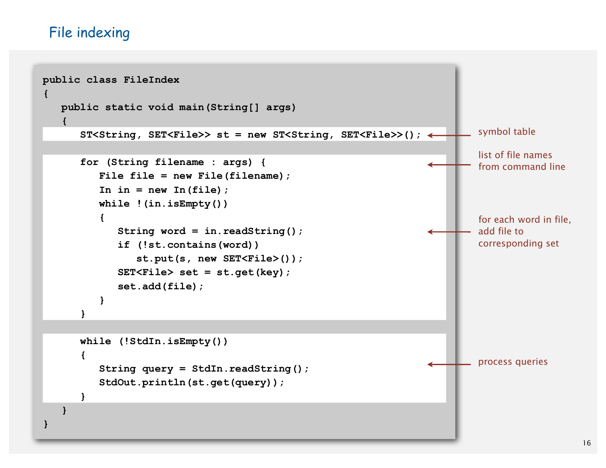#### File indexing

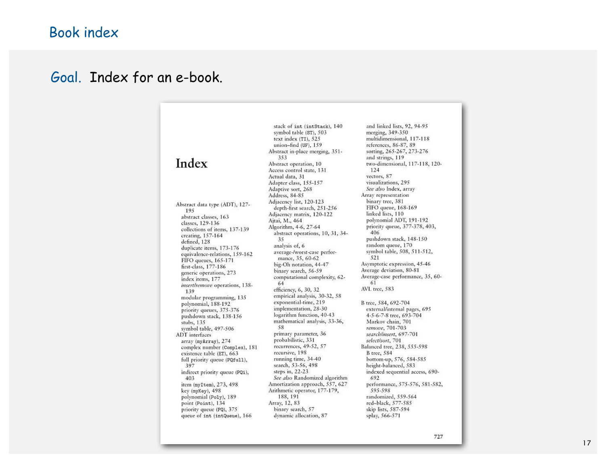### Book index

#### Goal. Index for an e-book.

|                                                       | stack of int (intStack), 140<br>symbol table (ST), 503<br>text index $(TI)$ , 525 | and linked lists, 92, 94-95<br>merging, 349-350<br>multidimensional, 117-118 |
|-------------------------------------------------------|-----------------------------------------------------------------------------------|------------------------------------------------------------------------------|
|                                                       | union-find $(UF)$ , 159                                                           | references, 86-87, 89                                                        |
|                                                       | Abstract in-place merging, 351-                                                   | sorting, 265-267, 273-276                                                    |
|                                                       | 353                                                                               | and strings, 119                                                             |
| Index                                                 | Abstract operation, 10                                                            | two-dimensional, 117-118, 120-                                               |
|                                                       | Access control state, 131                                                         | 124                                                                          |
|                                                       | Actual data, 31                                                                   | vectors, 87                                                                  |
|                                                       | Adapter class, 155-157                                                            | visualizations, 295                                                          |
|                                                       | Adaptive sort, 268                                                                | See also Index, array                                                        |
|                                                       | Address, 84-85                                                                    | Array representation                                                         |
| Abstract data type (ADT), 127-                        | Adjacency list, 120-123                                                           | binary tree, 381                                                             |
| 195                                                   | depth-first search, 251-256                                                       | FIFO queue, 168-169                                                          |
| abstract classes, 163                                 | Adjacency matrix, 120-122                                                         | linked lists, 110                                                            |
| classes, 129-136                                      | Ajtai, M., 464                                                                    | polynomial ADT, 191-192                                                      |
| collections of items, 137-139                         | Algorithm, 4-6, 27-64                                                             | priority queue, 377-378, 403,                                                |
| creating, $157-164$                                   | abstract operations, 10, 31, 34-                                                  | 406                                                                          |
| defined, 128                                          | 35                                                                                | pushdown stack, 148-150                                                      |
| duplicate items, 173-176                              | analysis of, 6                                                                    | random queue, 170                                                            |
| equivalence-relations, 159-162                        | average-/worst-case perfor-                                                       | symbol table, 508, 511-512,                                                  |
| FIFO queues, 165-171                                  | mance, 35, 60-62                                                                  | 521                                                                          |
| first-class, 177-186                                  | big-Oh notation, 44-47                                                            | Asymptotic expression, 45-46                                                 |
| generic operations, 273                               | binary search, 56-59                                                              | Average deviation, 80-81                                                     |
| index items, 177                                      | computational complexity, 62-                                                     | Average-case performance, 35, 60-<br>61                                      |
| <i>insert/remove</i> operations, 138-                 | 64                                                                                | AVL tree, 583                                                                |
| 139                                                   | efficiency, 6, 30, 32                                                             |                                                                              |
| modular programming, 135                              | empirical analysis, 30-32, 58                                                     |                                                                              |
| polynomial, 188-192                                   | exponential-time, 219                                                             | B tree, 584, 692-704                                                         |
| priority queues, 375-376                              | implementation, 28-30                                                             | external/internal pages, 695                                                 |
| pushdown stack, 138-156                               | logarithm function, 40-43<br>mathematical analysis, 33-36,                        | 4-5-6-7-8 tree, 693-704                                                      |
| stubs, 135                                            | 58                                                                                | Markov chain, 701<br>remove, 701-703                                         |
| symbol table, 497-506                                 | primary parameter, 36                                                             | search/insert, 697-701                                                       |
| ADT interfaces                                        | probabilistic, 331                                                                | select/sort, 701                                                             |
| array (myArray), 274<br>complex number (Complex), 181 | recurrences, 49-52, 57                                                            | Balanced tree, 238, 555-598                                                  |
| existence table (ET), 663                             | recursive, 198                                                                    | <b>B</b> tree, 584                                                           |
| full priority queue (PQfull),                         | running time, 34-40                                                               | bottom-up, 576, 584-585                                                      |
| 397                                                   | search, 53-56, 498                                                                | height-balanced, 583                                                         |
| indirect priority queue (PQi),                        | steps in, 22-23                                                                   | indexed sequential access, 690-                                              |
| 403                                                   | See also Randomized algorithm                                                     | 692                                                                          |
| item $(myItem)$ , 273, 498                            | Amortization approach, 557, 627                                                   | performance, 575-576, 581-582,                                               |
| key (myKey), 498                                      | Arithmetic operator, 177-179,                                                     | 595-598                                                                      |
| polynomial (Poly), 189                                | 188, 191                                                                          | randomized, 559-564                                                          |
| point (Point), 134                                    | Array, 12, 83                                                                     | red-black, 577-585                                                           |
| priority queue (PQ), 375                              | binary search, 57                                                                 | skip lists, 587-594                                                          |
| queue of int (intQueue), 166                          | dynamic allocation, 87                                                            | splay, 566-571                                                               |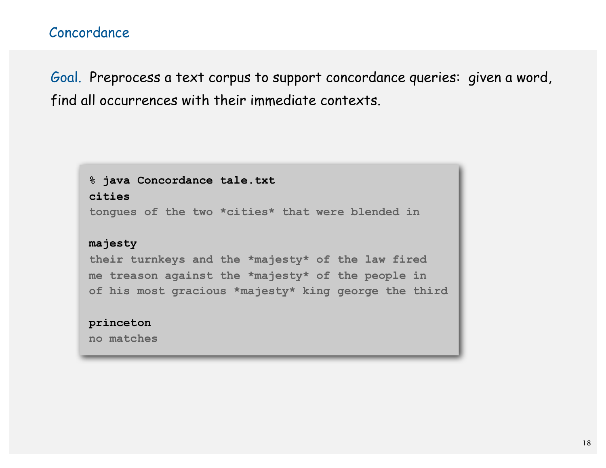Goal. Preprocess a text corpus to support concordance queries: given a word, find all occurrences with their immediate contexts.

**% java Concordance tale.txt cities**

**tongues of the two \*cities\* that were blended in** 

#### **majesty**

**their turnkeys and the \*majesty\* of the law fired me treason against the \*majesty\* of the people in of his most gracious \*majesty\* king george the third** 

#### **princeton**

**no matches**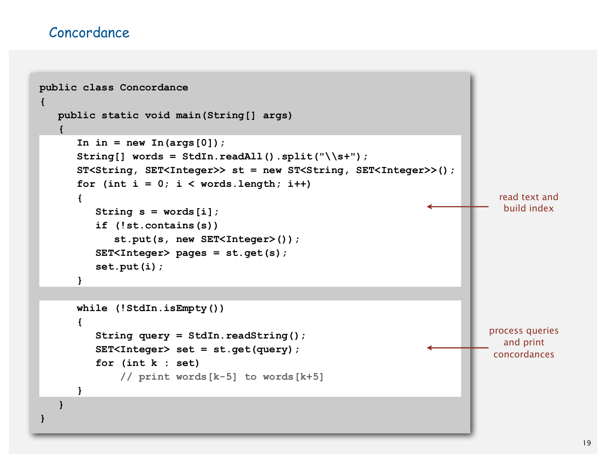#### Concordance

```
public class Concordance
{
    public static void main(String[] args)
 {
      In in = new In(arqs[0]);
       String[] words = StdIn.readAll().split("\\s+");
       ST<String, SET<Integer>> st = new ST<String, SET<Integer>>();
      for (int i = 0; i < words.length; i++) {
          String s = words[i];
          if (!st.contains(s)) 
              st.put(s, new SET<Integer>());
          SET<Integer> pages = st.get(s);
          set.put(i);
       }
       while (!StdIn.isEmpty())
       {
          String query = StdIn.readString();
          SET<Integer> set = st.get(query);
          for (int k : set)
               // print words[k-5] to words[k+5]
       } 
    }
}
                                                                                 read text and 
                                                                                  build index
                                                                               process queries
                                                                                  and print 
                                                                                concordances
```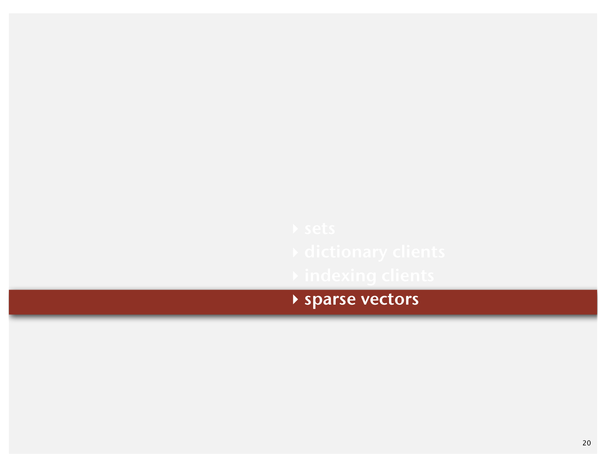**‣** sparse vectors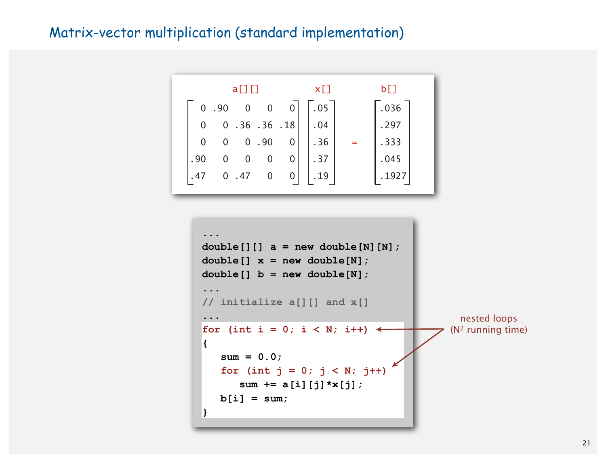#### Matrix-vector multiplication (standard implementation)



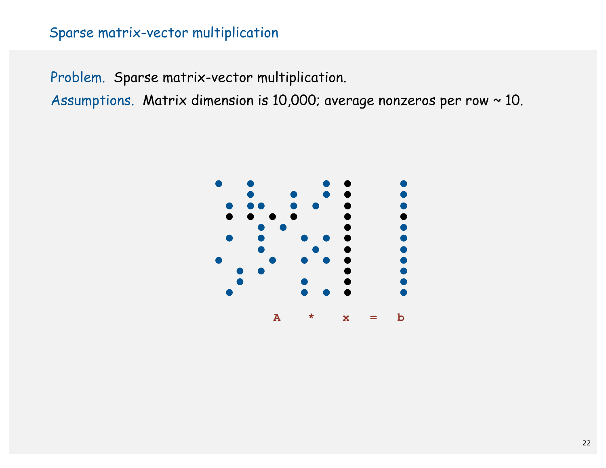#### Sparse matrix-vector multiplication

Problem. Sparse matrix-vector multiplication.

Assumptions. Matrix dimension is 10,000; average nonzeros per row ~ 10.

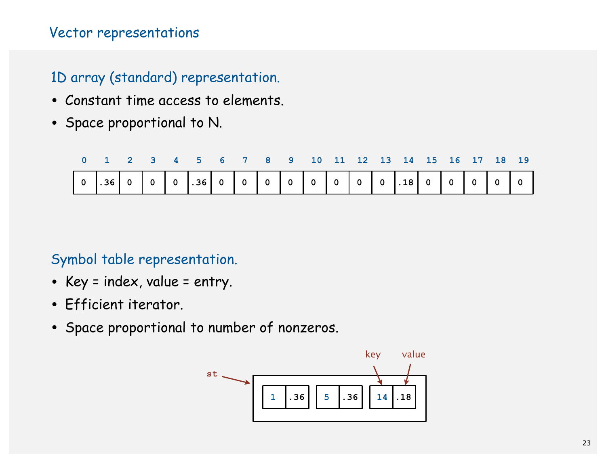#### Vector representations

#### 1D array (standard) representation.

- Constant time access to elements.
- Space proportional to N.

|  |  | 0 1 2 3 4 5 6 7 8 9 10 11 12 13 14 15 16 17 18 19 |  |  |  |  |  |  |  |
|--|--|---------------------------------------------------|--|--|--|--|--|--|--|
|  |  |                                                   |  |  |  |  |  |  |  |

#### Symbol table representation.

- Key = index, value = entry.
- Efficient iterator.
- Space proportional to number of nonzeros.

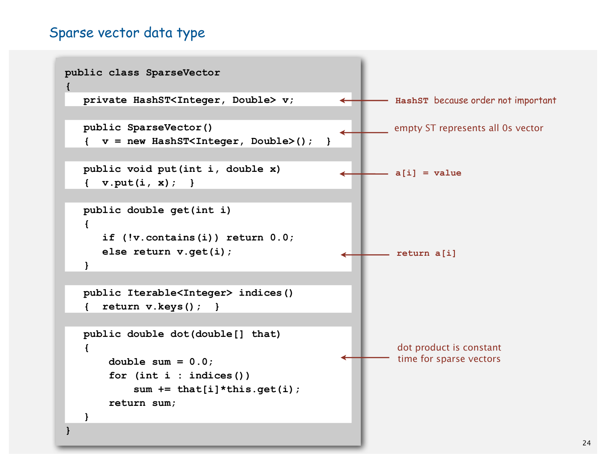#### Sparse vector data type

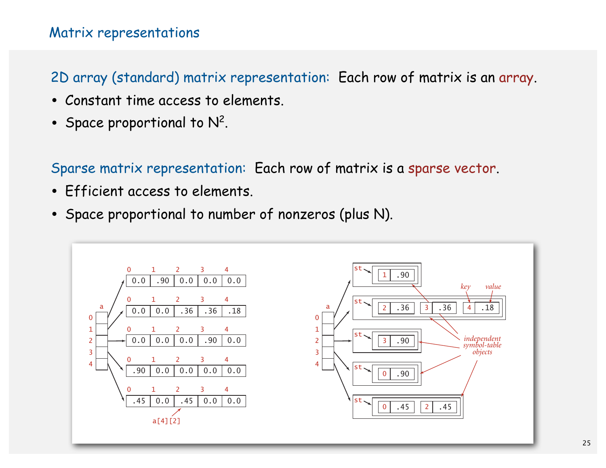#### Matrix representations

#### 2D array (standard) matrix representation: Each row of matrix is an array.

- Constant time access to elements.
- Space proportional to  $N^2$ .

Sparse matrix representation: Each row of matrix is a sparse vector.

- Efficient access to elements.
- Space proportional to number of nonzeros (plus N).